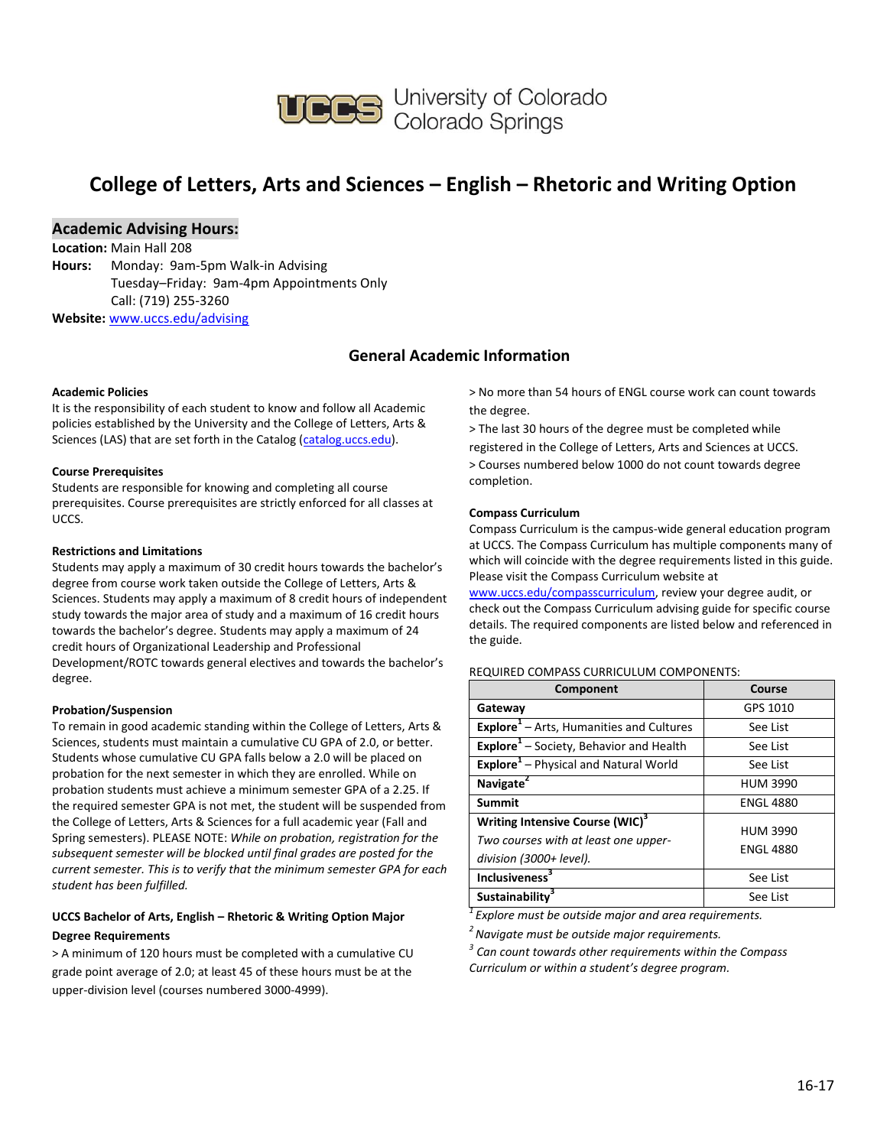

**UCCS** University of Colorado<br>Colorado Springs

## **College of Letters, Arts and Sciences – English – Rhetoric and Writing Option**

### **Academic Advising Hours:**

**Location:** Main Hall 208 **Hours:** Monday: 9am-5pm Walk-in Advising Tuesday–Friday: 9am-4pm Appointments Only Call: (719) 255-3260 **Website:** [www.uccs.edu/advising](http://www.uccs.edu/advising)

## **General Academic Information**

#### **Academic Policies**

It is the responsibility of each student to know and follow all Academic policies established by the University and the College of Letters, Arts & Sciences (LAS) that are set forth in the Catalog [\(catalog.uccs.edu\)](http://catalog.uccs.edu/).

#### **Course Prerequisites**

Students are responsible for knowing and completing all course prerequisites. Course prerequisites are strictly enforced for all classes at UCCS.

#### **Restrictions and Limitations**

Students may apply a maximum of 30 credit hours towards the bachelor's degree from course work taken outside the College of Letters, Arts & Sciences. Students may apply a maximum of 8 credit hours of independent study towards the major area of study and a maximum of 16 credit hours towards the bachelor's degree. Students may apply a maximum of 24 credit hours of Organizational Leadership and Professional Development/ROTC towards general electives and towards the bachelor's degree.

#### **Probation/Suspension**

To remain in good academic standing within the College of Letters, Arts & Sciences, students must maintain a cumulative CU GPA of 2.0, or better. Students whose cumulative CU GPA falls below a 2.0 will be placed on probation for the next semester in which they are enrolled. While on probation students must achieve a minimum semester GPA of a 2.25. If the required semester GPA is not met, the student will be suspended from the College of Letters, Arts & Sciences for a full academic year (Fall and Spring semesters). PLEASE NOTE: *While on probation, registration for the subsequent semester will be blocked until final grades are posted for the current semester. This is to verify that the minimum semester GPA for each student has been fulfilled.*

### **UCCS Bachelor of Arts, English – Rhetoric & Writing Option Major Degree Requirements**

> A minimum of 120 hours must be completed with a cumulative CU grade point average of 2.0; at least 45 of these hours must be at the upper-division level (courses numbered 3000-4999).

> No more than 54 hours of ENGL course work can count towards the degree.

> The last 30 hours of the degree must be completed while registered in the College of Letters, Arts and Sciences at UCCS. > Courses numbered below 1000 do not count towards degree completion.

#### **Compass Curriculum**

Compass Curriculum is the campus-wide general education program at UCCS. The Compass Curriculum has multiple components many of which will coincide with the degree requirements listed in this guide. Please visit the Compass Curriculum website at

[www.uccs.edu/compasscurriculum,](http://www.uccs.edu/compasscurriculum) review your degree audit, or check out the Compass Curriculum advising guide for specific course details. The required components are listed below and referenced in the guide.

| Component                                                                                                      | Course                              |
|----------------------------------------------------------------------------------------------------------------|-------------------------------------|
| Gateway                                                                                                        | GPS 1010                            |
| <b>Explore</b> <sup>1</sup> – Arts, Humanities and Cultures                                                    | See List                            |
| Explore <sup>1</sup> - Society, Behavior and Health                                                            | See List                            |
| Explore <sup>1</sup> - Physical and Natural World                                                              | See List                            |
| Navigate <sup>2</sup>                                                                                          | <b>HUM 3990</b>                     |
| <b>Summit</b>                                                                                                  | <b>ENGL 4880</b>                    |
| Writing Intensive Course (WIC) <sup>3</sup><br>Two courses with at least one upper-<br>division (3000+ level). | <b>HUM 3990</b><br><b>ENGL 4880</b> |
| Inclusiveness <sup>3</sup>                                                                                     | See List                            |
| Sustainability <sup>3</sup>                                                                                    | See List                            |

REQUIRED COMPASS CURRICULUM COMPONENTS:

*<sup>1</sup>Explore must be outside major and area requirements.*

*<sup>2</sup>Navigate must be outside major requirements.*

*3 Can count towards other requirements within the Compass Curriculum or within a student's degree program.*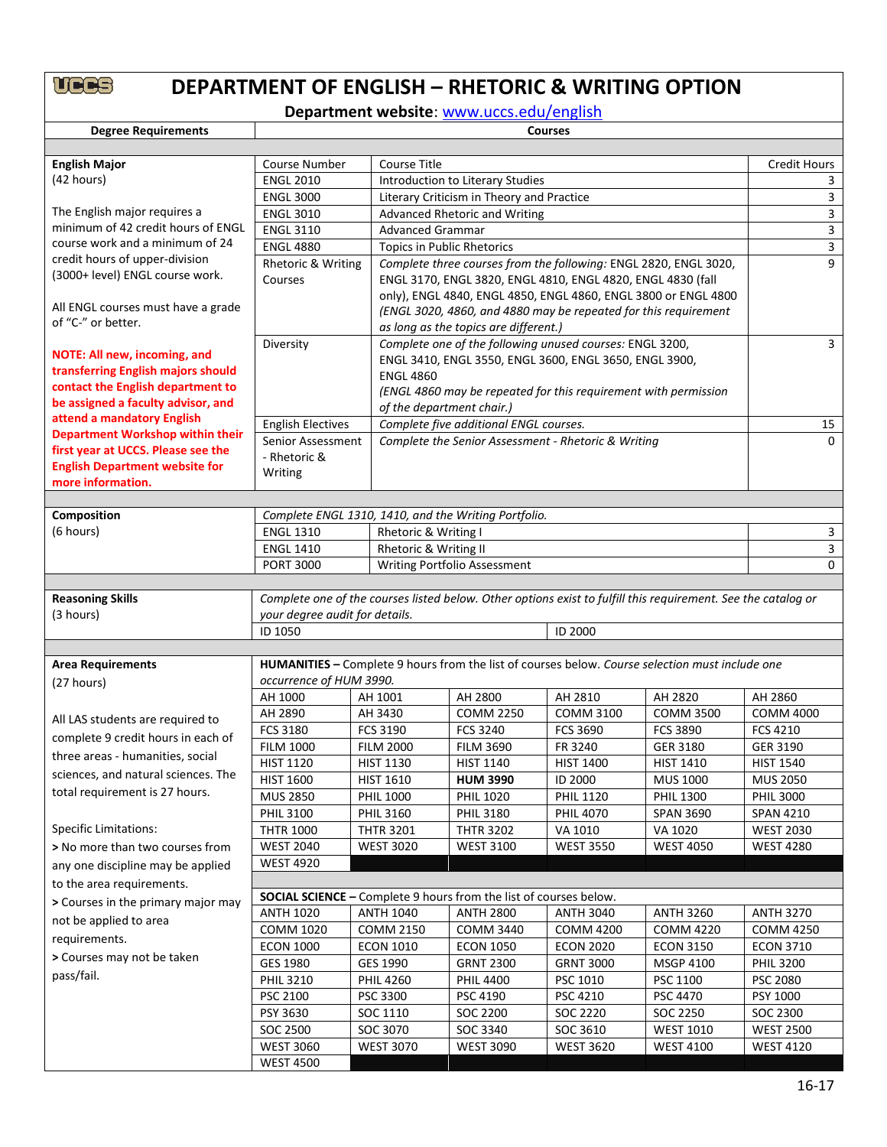## **DEPARTMENT OF ENGLISH – RHETORIC & WRITING OPTION**

**Department website**: [www.uccs.edu/english](http://www.uccs.edu/english)

| <b>Degree Requirements</b>              | <b>Courses</b>                                                                                   |                                                                                                                                 |                                                          |                                                                 |                                                                                                               |                                      |  |
|-----------------------------------------|--------------------------------------------------------------------------------------------------|---------------------------------------------------------------------------------------------------------------------------------|----------------------------------------------------------|-----------------------------------------------------------------|---------------------------------------------------------------------------------------------------------------|--------------------------------------|--|
|                                         |                                                                                                  |                                                                                                                                 |                                                          |                                                                 |                                                                                                               |                                      |  |
| <b>English Major</b>                    | <b>Course Number</b><br><b>Course Title</b>                                                      |                                                                                                                                 |                                                          |                                                                 |                                                                                                               | <b>Credit Hours</b>                  |  |
| (42 hours)                              | <b>ENGL 2010</b>                                                                                 | Introduction to Literary Studies                                                                                                |                                                          |                                                                 |                                                                                                               |                                      |  |
|                                         | <b>ENGL 3000</b>                                                                                 | Literary Criticism in Theory and Practice                                                                                       |                                                          |                                                                 |                                                                                                               | $\overline{3}$                       |  |
| The English major requires a            | <b>ENGL 3010</b>                                                                                 |                                                                                                                                 | Advanced Rhetoric and Writing                            |                                                                 |                                                                                                               | 3                                    |  |
| minimum of 42 credit hours of ENGL      | <b>ENGL 3110</b>                                                                                 | <b>Advanced Grammar</b>                                                                                                         |                                                          |                                                                 |                                                                                                               | 3                                    |  |
| course work and a minimum of 24         | <b>ENGL 4880</b><br><b>Topics in Public Rhetorics</b>                                            |                                                                                                                                 |                                                          |                                                                 | 3                                                                                                             |                                      |  |
| credit hours of upper-division          | Rhetoric & Writing                                                                               |                                                                                                                                 |                                                          |                                                                 |                                                                                                               | 9                                    |  |
| (3000+ level) ENGL course work.         | Courses                                                                                          | Complete three courses from the following: ENGL 2820, ENGL 3020,<br>ENGL 3170, ENGL 3820, ENGL 4810, ENGL 4820, ENGL 4830 (fall |                                                          |                                                                 |                                                                                                               |                                      |  |
|                                         |                                                                                                  |                                                                                                                                 |                                                          |                                                                 | only), ENGL 4840, ENGL 4850, ENGL 4860, ENGL 3800 or ENGL 4800                                                |                                      |  |
| All ENGL courses must have a grade      |                                                                                                  |                                                                                                                                 |                                                          | (ENGL 3020, 4860, and 4880 may be repeated for this requirement |                                                                                                               |                                      |  |
| of "C-" or better.                      |                                                                                                  |                                                                                                                                 | as long as the topics are different.)                    |                                                                 |                                                                                                               |                                      |  |
|                                         | Diversity                                                                                        |                                                                                                                                 |                                                          | Complete one of the following unused courses: ENGL 3200,        |                                                                                                               | 3                                    |  |
| NOTE: All new, incoming, and            |                                                                                                  |                                                                                                                                 |                                                          | ENGL 3410, ENGL 3550, ENGL 3600, ENGL 3650, ENGL 3900,          |                                                                                                               |                                      |  |
| transferring English majors should      |                                                                                                  | <b>ENGL 4860</b>                                                                                                                |                                                          |                                                                 |                                                                                                               |                                      |  |
| contact the English department to       |                                                                                                  |                                                                                                                                 |                                                          | (ENGL 4860 may be repeated for this requirement with permission |                                                                                                               |                                      |  |
| be assigned a faculty advisor, and      |                                                                                                  |                                                                                                                                 | of the department chair.)                                |                                                                 |                                                                                                               |                                      |  |
| attend a mandatory English              | <b>English Electives</b>                                                                         |                                                                                                                                 | Complete five additional ENGL courses.                   |                                                                 |                                                                                                               | 15                                   |  |
| <b>Department Workshop within their</b> | Senior Assessment                                                                                |                                                                                                                                 |                                                          | Complete the Senior Assessment - Rhetoric & Writing             |                                                                                                               | $\Omega$                             |  |
| first year at UCCS. Please see the      | - Rhetoric &                                                                                     |                                                                                                                                 |                                                          |                                                                 |                                                                                                               |                                      |  |
| <b>English Department website for</b>   | Writing                                                                                          |                                                                                                                                 |                                                          |                                                                 |                                                                                                               |                                      |  |
| more information.                       |                                                                                                  |                                                                                                                                 |                                                          |                                                                 |                                                                                                               |                                      |  |
|                                         |                                                                                                  |                                                                                                                                 |                                                          |                                                                 |                                                                                                               |                                      |  |
| Composition                             |                                                                                                  | Complete ENGL 1310, 1410, and the Writing Portfolio.                                                                            |                                                          |                                                                 |                                                                                                               |                                      |  |
| (6 hours)                               | <b>ENGL 1310</b>                                                                                 | Rhetoric & Writing I                                                                                                            |                                                          |                                                                 |                                                                                                               | 3<br>3                               |  |
|                                         | <b>ENGL 1410</b>                                                                                 |                                                                                                                                 | Rhetoric & Writing II                                    |                                                                 |                                                                                                               |                                      |  |
|                                         | <b>PORT 3000</b>                                                                                 |                                                                                                                                 | Writing Portfolio Assessment                             |                                                                 |                                                                                                               | $\Omega$                             |  |
|                                         |                                                                                                  |                                                                                                                                 |                                                          |                                                                 |                                                                                                               |                                      |  |
| <b>Reasoning Skills</b>                 |                                                                                                  |                                                                                                                                 |                                                          |                                                                 | Complete one of the courses listed below. Other options exist to fulfill this requirement. See the catalog or |                                      |  |
| (3 hours)                               | your degree audit for details.                                                                   |                                                                                                                                 |                                                          |                                                                 |                                                                                                               |                                      |  |
|                                         | ID 1050                                                                                          |                                                                                                                                 |                                                          | ID 2000                                                         |                                                                                                               |                                      |  |
|                                         |                                                                                                  |                                                                                                                                 |                                                          |                                                                 |                                                                                                               |                                      |  |
| <b>Area Requirements</b>                |                                                                                                  |                                                                                                                                 |                                                          |                                                                 | HUMANITIES - Complete 9 hours from the list of courses below. Course selection must include one               |                                      |  |
| (27 hours)                              | occurrence of HUM 3990.                                                                          |                                                                                                                                 |                                                          |                                                                 |                                                                                                               |                                      |  |
|                                         | AH 1000                                                                                          | AH 1001                                                                                                                         | AH 2800                                                  | AH 2810                                                         | AH 2820                                                                                                       | AH 2860                              |  |
| All LAS students are required to        | AH 2890                                                                                          | AH 3430                                                                                                                         | <b>COMM 2250</b>                                         | <b>COMM 3100</b>                                                | <b>COMM 3500</b>                                                                                              | <b>COMM 4000</b>                     |  |
| complete 9 credit hours in each of      | FCS 3180                                                                                         | <b>FCS 3190</b>                                                                                                                 | <b>FCS 3240</b>                                          | FCS 3690                                                        | <b>FCS 3890</b>                                                                                               | <b>FCS 4210</b>                      |  |
| three areas - humanities, social        | <b>FILM 1000</b>                                                                                 | <b>FILM 2000</b>                                                                                                                | <b>FILM 3690</b>                                         | FR 3240                                                         | GER 3180                                                                                                      | GER 3190                             |  |
| sciences, and natural sciences. The     | <b>HIST 1120</b>                                                                                 | <b>HIST 1130</b>                                                                                                                | <b>HIST 1140</b>                                         | <b>HIST 1400</b>                                                | <b>HIST 1410</b>                                                                                              | <b>HIST 1540</b>                     |  |
|                                         | <b>HIST 1600</b>                                                                                 | <b>HIST 1610</b>                                                                                                                | <b>HUM 3990</b>                                          | <b>ID 2000</b>                                                  | <b>MUS 1000</b>                                                                                               | <b>MUS 2050</b>                      |  |
| total requirement is 27 hours.          | <b>MUS 2850</b>                                                                                  | <b>PHIL 1000</b>                                                                                                                | <b>PHIL 1020</b>                                         | <b>PHIL 1120</b>                                                | <b>PHIL 1300</b>                                                                                              | <b>PHIL 3000</b>                     |  |
|                                         | <b>PHIL 3100</b>                                                                                 | <b>PHIL 3160</b>                                                                                                                | <b>PHIL 3180</b>                                         | <b>PHIL 4070</b>                                                | <b>SPAN 3690</b>                                                                                              | SPAN 4210                            |  |
| <b>Specific Limitations:</b>            | <b>THTR 1000</b>                                                                                 | <b>THTR 3201</b>                                                                                                                | <b>THTR 3202</b>                                         | VA 1010                                                         | VA 1020                                                                                                       | <b>WEST 2030</b>                     |  |
| > No more than two courses from         | <b>WEST 2040</b>                                                                                 | <b>WEST 3020</b>                                                                                                                | <b>WEST 3100</b>                                         | <b>WEST 3550</b>                                                | <b>WEST 4050</b>                                                                                              | <b>WEST 4280</b>                     |  |
| any one discipline may be applied       | <b>WEST 4920</b>                                                                                 |                                                                                                                                 |                                                          |                                                                 |                                                                                                               |                                      |  |
| to the area requirements.               |                                                                                                  |                                                                                                                                 |                                                          |                                                                 |                                                                                                               |                                      |  |
| > Courses in the primary major may      | <b>SOCIAL SCIENCE - Complete 9 hours from the list of courses below.</b>                         |                                                                                                                                 |                                                          |                                                                 |                                                                                                               |                                      |  |
|                                         | <b>ANTH 2800</b><br><b>ANTH 3040</b><br><b>ANTH 3260</b><br><b>ANTH 1020</b><br><b>ANTH 1040</b> |                                                                                                                                 |                                                          |                                                                 |                                                                                                               | <b>ANTH 3270</b>                     |  |
| not be applied to area                  | <b>COMM 1020</b>                                                                                 | <b>COMM 2150</b>                                                                                                                | <b>COMM 3440</b>                                         | <b>COMM 4200</b>                                                | <b>COMM 4220</b>                                                                                              | <b>COMM 4250</b>                     |  |
| requirements.                           | <b>ECON 1000</b>                                                                                 | <b>ECON 1010</b>                                                                                                                | <b>ECON 1050</b>                                         | <b>ECON 2020</b>                                                | <b>ECON 3150</b>                                                                                              | <b>ECON 3710</b>                     |  |
| > Courses may not be taken              | GES 1980                                                                                         | GES 1990                                                                                                                        | <b>GRNT 2300</b><br><b>GRNT 3000</b><br><b>MSGP 4100</b> |                                                                 |                                                                                                               | <b>PHIL 3200</b>                     |  |
| pass/fail.                              | <b>PHIL 3210</b>                                                                                 | <b>PHIL 4260</b>                                                                                                                | <b>PHIL 4400</b>                                         | PSC 1010                                                        | PSC 1100                                                                                                      | PSC 2080                             |  |
|                                         |                                                                                                  |                                                                                                                                 |                                                          |                                                                 |                                                                                                               |                                      |  |
|                                         | PSC 2100                                                                                         | PSC 3300                                                                                                                        | PSC 4190                                                 | PSC 4210                                                        | PSC 4470                                                                                                      | PSY 1000                             |  |
|                                         |                                                                                                  |                                                                                                                                 |                                                          |                                                                 |                                                                                                               |                                      |  |
|                                         | PSY 3630                                                                                         | SOC 1110                                                                                                                        | SOC 2200                                                 | SOC 2220                                                        | SOC 2250                                                                                                      | SOC 2300                             |  |
|                                         | SOC 2500<br><b>WEST 3060</b>                                                                     | SOC 3070<br><b>WEST 3070</b>                                                                                                    | SOC 3340<br><b>WEST 3090</b>                             | SOC 3610<br><b>WEST 3620</b>                                    | <b>WEST 1010</b><br><b>WEST 4100</b>                                                                          | <b>WEST 2500</b><br><b>WEST 4120</b> |  |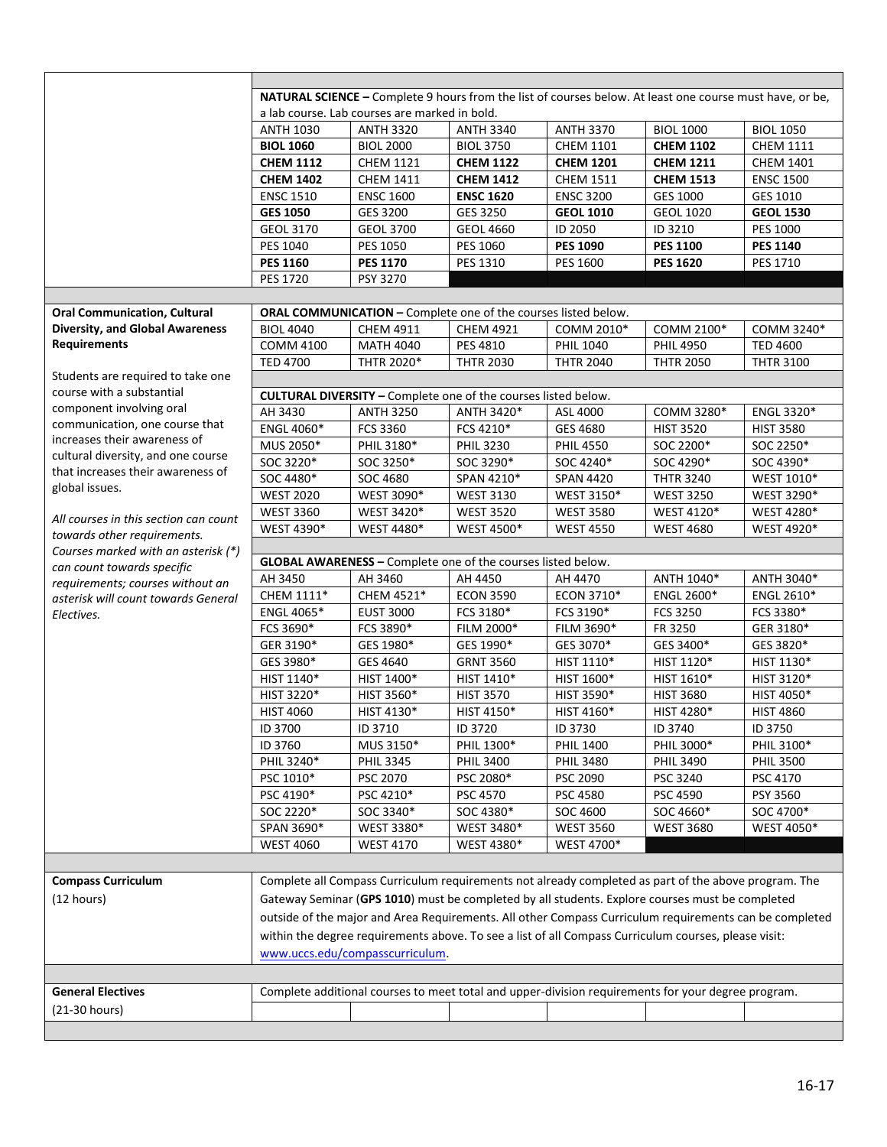|                                                                   | NATURAL SCIENCE - Complete 9 hours from the list of courses below. At least one course must have, or be,                                                                                                       |                                 |                                                                                                      |                  |                  |                  |  |
|-------------------------------------------------------------------|----------------------------------------------------------------------------------------------------------------------------------------------------------------------------------------------------------------|---------------------------------|------------------------------------------------------------------------------------------------------|------------------|------------------|------------------|--|
|                                                                   | a lab course. Lab courses are marked in bold.                                                                                                                                                                  |                                 |                                                                                                      |                  |                  |                  |  |
|                                                                   | <b>ANTH 1030</b>                                                                                                                                                                                               | <b>ANTH 3320</b>                | <b>ANTH 3340</b>                                                                                     | <b>ANTH 3370</b> | <b>BIOL 1000</b> | <b>BIOL 1050</b> |  |
|                                                                   | <b>BIOL 1060</b>                                                                                                                                                                                               | <b>BIOL 2000</b>                | <b>BIOL 3750</b>                                                                                     | <b>CHEM 1101</b> | <b>CHEM 1102</b> | <b>CHEM 1111</b> |  |
|                                                                   | <b>CHEM 1112</b>                                                                                                                                                                                               | <b>CHEM 1121</b>                | <b>CHEM 1122</b>                                                                                     | <b>CHEM 1201</b> | <b>CHEM 1211</b> | <b>CHEM 1401</b> |  |
|                                                                   | <b>CHEM 1402</b>                                                                                                                                                                                               | <b>CHEM 1411</b>                | <b>CHEM 1412</b>                                                                                     | <b>CHEM 1511</b> | <b>CHEM 1513</b> | <b>ENSC 1500</b> |  |
|                                                                   | <b>ENSC 1510</b>                                                                                                                                                                                               | <b>ENSC 1600</b>                | <b>ENSC 1620</b>                                                                                     | <b>ENSC 3200</b> | GES 1000         | GES 1010         |  |
|                                                                   | <b>GES 1050</b>                                                                                                                                                                                                | GES 3200                        | GES 3250                                                                                             | <b>GEOL 1010</b> | <b>GEOL 1020</b> | <b>GEOL 1530</b> |  |
|                                                                   | <b>GEOL 3170</b>                                                                                                                                                                                               | <b>GEOL 3700</b>                | <b>GEOL 4660</b>                                                                                     | ID 2050          | ID 3210          | PES 1000         |  |
|                                                                   | PES 1040                                                                                                                                                                                                       | <b>PES 1050</b>                 | PES 1060                                                                                             | <b>PES 1090</b>  | <b>PES 1100</b>  | <b>PES 1140</b>  |  |
|                                                                   | <b>PES 1160</b>                                                                                                                                                                                                | <b>PES 1170</b>                 | PES 1310                                                                                             | PES 1600         | <b>PES 1620</b>  | PES 1710         |  |
|                                                                   | <b>PES 1720</b>                                                                                                                                                                                                | PSY 3270                        |                                                                                                      |                  |                  |                  |  |
|                                                                   |                                                                                                                                                                                                                |                                 |                                                                                                      |                  |                  |                  |  |
| <b>Oral Communication, Cultural</b>                               |                                                                                                                                                                                                                |                                 | ORAL COMMUNICATION - Complete one of the courses listed below.                                       |                  |                  |                  |  |
| <b>Diversity, and Global Awareness</b>                            | <b>BIOL 4040</b>                                                                                                                                                                                               | CHEM 4911                       | <b>CHEM 4921</b>                                                                                     | COMM 2010*       | COMM 2100*       | COMM 3240*       |  |
| <b>Requirements</b>                                               | <b>COMM 4100</b>                                                                                                                                                                                               | <b>MATH 4040</b>                | PES 4810                                                                                             | PHIL 1040        | <b>PHIL 4950</b> | <b>TED 4600</b>  |  |
|                                                                   | <b>TED 4700</b>                                                                                                                                                                                                | THTR 2020*                      | <b>THTR 2030</b>                                                                                     | <b>THTR 2040</b> | <b>THTR 2050</b> | <b>THTR 3100</b> |  |
| Students are required to take one                                 |                                                                                                                                                                                                                |                                 |                                                                                                      |                  |                  |                  |  |
| course with a substantial                                         |                                                                                                                                                                                                                |                                 | <b>CULTURAL DIVERSITY - Complete one of the courses listed below.</b>                                |                  |                  |                  |  |
| component involving oral                                          | AH 3430                                                                                                                                                                                                        | <b>ANTH 3250</b>                | ANTH 3420*                                                                                           | ASL 4000         | COMM 3280*       | ENGL 3320*       |  |
| communication, one course that                                    | ENGL 4060*                                                                                                                                                                                                     | FCS 3360                        | FCS 4210*                                                                                            | GES 4680         | <b>HIST 3520</b> | <b>HIST 3580</b> |  |
| increases their awareness of                                      | MUS 2050*                                                                                                                                                                                                      | PHIL 3180*                      | <b>PHIL 3230</b>                                                                                     | <b>PHIL 4550</b> | SOC 2200*        | SOC 2250*        |  |
| cultural diversity, and one course                                | SOC 3220*                                                                                                                                                                                                      | SOC 3250*                       | SOC 3290*                                                                                            | SOC 4240*        | SOC 4290*        | SOC 4390*        |  |
| that increases their awareness of                                 | SOC 4480*                                                                                                                                                                                                      | SOC 4680                        | SPAN 4210*                                                                                           | <b>SPAN 4420</b> | <b>THTR 3240</b> | WEST 1010*       |  |
| global issues.                                                    | <b>WEST 2020</b>                                                                                                                                                                                               | <b>WEST 3090*</b>               | <b>WEST 3130</b>                                                                                     | WEST 3150*       | <b>WEST 3250</b> | WEST 3290*       |  |
|                                                                   | <b>WEST 3360</b>                                                                                                                                                                                               | WEST 3420*                      | <b>WEST 3520</b>                                                                                     | <b>WEST 3580</b> | WEST 4120*       | WEST 4280*       |  |
| All courses in this section can count                             | WEST 4390*                                                                                                                                                                                                     | WEST 4480*                      | WEST 4500*                                                                                           | <b>WEST 4550</b> | <b>WEST 4680</b> | WEST 4920*       |  |
| towards other requirements.                                       |                                                                                                                                                                                                                |                                 |                                                                                                      |                  |                  |                  |  |
| Courses marked with an asterisk (*)<br>can count towards specific |                                                                                                                                                                                                                |                                 | GLOBAL AWARENESS - Complete one of the courses listed below.                                         |                  |                  |                  |  |
| requirements; courses without an                                  | AH 3450                                                                                                                                                                                                        | AH 3460                         | AH 4450                                                                                              | AH 4470          | ANTH 1040*       | ANTH 3040*       |  |
| asterisk will count towards General                               | CHEM 1111*                                                                                                                                                                                                     | CHEM 4521*                      | <b>ECON 3590</b>                                                                                     | ECON 3710*       | ENGL 2600*       | ENGL 2610*       |  |
| Electives.                                                        | ENGL 4065*                                                                                                                                                                                                     | <b>EUST 3000</b>                | FCS 3180*                                                                                            | FCS 3190*        | <b>FCS 3250</b>  | FCS 3380*        |  |
|                                                                   | FCS 3690*                                                                                                                                                                                                      | FCS 3890*                       | FILM 2000*                                                                                           | FILM 3690*       | FR 3250          | GER 3180*        |  |
|                                                                   | GER 3190*                                                                                                                                                                                                      | GES 1980*                       | GES 1990*                                                                                            | GES 3070*        | GES 3400*        | GES 3820*        |  |
|                                                                   | GES 3980*                                                                                                                                                                                                      | GES 4640                        | <b>GRNT 3560</b>                                                                                     | HIST 1110*       | HIST 1120*       | HIST 1130*       |  |
|                                                                   | HIST 1140*                                                                                                                                                                                                     | HIST 1400*                      | HIST 1410*                                                                                           | HIST 1600*       | HIST 1610*       | HIST 3120*       |  |
|                                                                   | HIST 3220*                                                                                                                                                                                                     | HIST 3560*                      | <b>HIST 3570</b>                                                                                     | HIST 3590*       | <b>HIST 3680</b> | HIST 4050*       |  |
|                                                                   | <b>HIST 4060</b>                                                                                                                                                                                               | HIST 4130*                      | HIST 4150*                                                                                           | HIST 4160*       | HIST 4280*       | <b>HIST 4860</b> |  |
|                                                                   | ID 3700                                                                                                                                                                                                        | ID 3710                         | ID 3720                                                                                              | ID 3730          | ID 3740          | ID 3750          |  |
|                                                                   | ID 3760                                                                                                                                                                                                        | MUS 3150*                       | PHIL 1300*                                                                                           | <b>PHIL 1400</b> | PHIL 3000*       | PHIL 3100*       |  |
|                                                                   | PHIL 3240*                                                                                                                                                                                                     | <b>PHIL 3345</b>                | <b>PHIL 3400</b>                                                                                     | <b>PHIL 3480</b> | <b>PHIL 3490</b> | <b>PHIL 3500</b> |  |
|                                                                   | PSC 1010*                                                                                                                                                                                                      | PSC 2070                        | PSC 2080*                                                                                            | PSC 2090         | PSC 3240         | PSC 4170         |  |
|                                                                   | PSC 4190*                                                                                                                                                                                                      | PSC 4210*                       | PSC 4570                                                                                             | PSC 4580         | PSC 4590         | PSY 3560         |  |
|                                                                   | SOC 2220*                                                                                                                                                                                                      | SOC 3340*                       | SOC 4380*                                                                                            | SOC 4600         | SOC 4660*        | SOC 4700*        |  |
|                                                                   | SPAN 3690*                                                                                                                                                                                                     | WEST 3380*                      | WEST 3480*                                                                                           | <b>WEST 3560</b> | <b>WEST 3680</b> | WEST 4050*       |  |
|                                                                   | <b>WEST 4060</b>                                                                                                                                                                                               | <b>WEST 4170</b>                | WEST 4380*                                                                                           | WEST 4700*       |                  |                  |  |
|                                                                   |                                                                                                                                                                                                                |                                 |                                                                                                      |                  |                  |                  |  |
| <b>Compass Curriculum</b>                                         |                                                                                                                                                                                                                |                                 | Complete all Compass Curriculum requirements not already completed as part of the above program. The |                  |                  |                  |  |
| (12 hours)                                                        |                                                                                                                                                                                                                |                                 | Gateway Seminar (GPS 1010) must be completed by all students. Explore courses must be completed      |                  |                  |                  |  |
|                                                                   |                                                                                                                                                                                                                |                                 |                                                                                                      |                  |                  |                  |  |
|                                                                   | outside of the major and Area Requirements. All other Compass Curriculum requirements can be completed<br>within the degree requirements above. To see a list of all Compass Curriculum courses, please visit: |                                 |                                                                                                      |                  |                  |                  |  |
|                                                                   |                                                                                                                                                                                                                |                                 |                                                                                                      |                  |                  |                  |  |
|                                                                   |                                                                                                                                                                                                                | www.uccs.edu/compasscurriculum. |                                                                                                      |                  |                  |                  |  |
|                                                                   |                                                                                                                                                                                                                |                                 |                                                                                                      |                  |                  |                  |  |
| <b>General Electives</b>                                          | Complete additional courses to meet total and upper-division requirements for your degree program.                                                                                                             |                                 |                                                                                                      |                  |                  |                  |  |
| (21-30 hours)                                                     |                                                                                                                                                                                                                |                                 |                                                                                                      |                  |                  |                  |  |
|                                                                   |                                                                                                                                                                                                                |                                 |                                                                                                      |                  |                  |                  |  |
|                                                                   |                                                                                                                                                                                                                |                                 |                                                                                                      |                  |                  |                  |  |